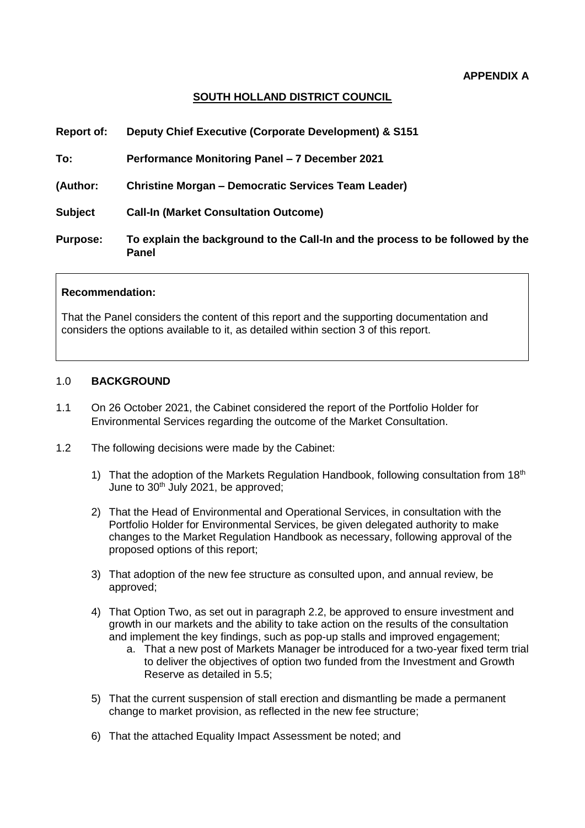#### **APPENDIX A**

#### **SOUTH HOLLAND DISTRICT COUNCIL**

| <b>Report of:</b> | Deputy Chief Executive (Corporate Development) & S151                                          |
|-------------------|------------------------------------------------------------------------------------------------|
| To:               | Performance Monitoring Panel - 7 December 2021                                                 |
| (Author:          | <b>Christine Morgan – Democratic Services Team Leader)</b>                                     |
| <b>Subject</b>    | <b>Call-In (Market Consultation Outcome)</b>                                                   |
| <b>Purpose:</b>   | To explain the background to the Call-In and the process to be followed by the<br><b>Panel</b> |
|                   |                                                                                                |

#### **Recommendation:**

That the Panel considers the content of this report and the supporting documentation and considers the options available to it, as detailed within section 3 of this report.

#### 1.0 **BACKGROUND**

- 1.1 On 26 October 2021, the Cabinet considered the report of the Portfolio Holder for Environmental Services regarding the outcome of the Market Consultation.
- 1.2 The following decisions were made by the Cabinet:
	- 1) That the adoption of the Markets Regulation Handbook, following consultation from  $18<sup>th</sup>$ June to 30<sup>th</sup> July 2021, be approved;
	- 2) That the Head of Environmental and Operational Services, in consultation with the Portfolio Holder for Environmental Services, be given delegated authority to make changes to the Market Regulation Handbook as necessary, following approval of the proposed options of this report;
	- 3) That adoption of the new fee structure as consulted upon, and annual review, be approved;
	- 4) That Option Two, as set out in paragraph 2.2, be approved to ensure investment and growth in our markets and the ability to take action on the results of the consultation and implement the key findings, such as pop-up stalls and improved engagement;
		- a. That a new post of Markets Manager be introduced for a two-year fixed term trial to deliver the objectives of option two funded from the Investment and Growth Reserve as detailed in 5.5;
	- 5) That the current suspension of stall erection and dismantling be made a permanent change to market provision, as reflected in the new fee structure;
	- 6) That the attached Equality Impact Assessment be noted; and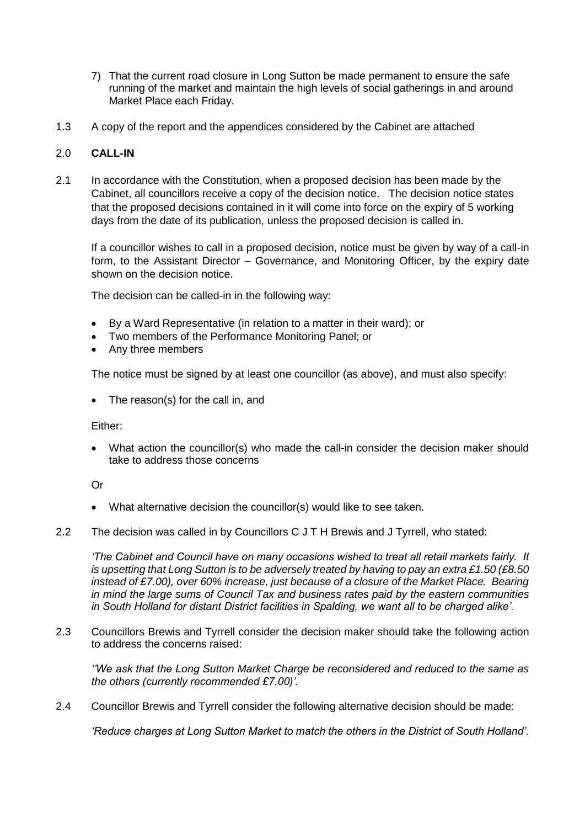- 7) That the current road closure in Long Sutton be made permanent to ensure the safe running of the market and maintain the high levels of social gatherings in and around Market Place each Friday.
- 1.3 A copy of the report and the appendices considered by the Cabinet are attached

#### 2.0 **CALL-IN**

2.1 In accordance with the Constitution, when a proposed decision has been made by the Cabinet, all councillors receive a copy of the decision notice. The decision notice states that the proposed decisions contained in it will come into force on the expiry of 5 working days from the date of its publication, unless the proposed decision is called in.

If a councillor wishes to call in a proposed decision, notice must be given by way of a call-in form, to the Assistant Director – Governance, and Monitoring Officer, by the expiry date shown on the decision notice.

The decision can be called-in in the following way:

- By a Ward Representative (in relation to a matter in their ward); or
- Two members of the Performance Monitoring Panel; or
- Any three members

The notice must be signed by at least one councillor (as above), and must also specify:

• The reason(s) for the call in, and

Either:

• What action the councillor(s) who made the call-in consider the decision maker should take to address those concerns

Or

- What alternative decision the councillor(s) would like to see taken.
- 2.2 The decision was called in by Councillors C J T H Brewis and J Tyrrell, who stated:

*'The Cabinet and Council have on many occasions wished to treat all retail markets fairly. It is upsetting that Long Sutton is to be adversely treated by having to pay an extra £1.50 (£8.50 instead of £7.00), over 60% increase, just because of a closure of the Market Place. Bearing in mind the large sums of Council Tax and business rates paid by the eastern communities in South Holland for distant District facilities in Spalding, we want all to be charged alike'.* 

2.3 Councillors Brewis and Tyrrell consider the decision maker should take the following action to address the concerns raised:

*''We ask that the Long Sutton Market Charge be reconsidered and reduced to the same as the others (currently recommended £7.00)'.*

2.4 Councillor Brewis and Tyrrell consider the following alternative decision should be made:

*'Reduce charges at Long Sutton Market to match the others in the District of South Holland'.*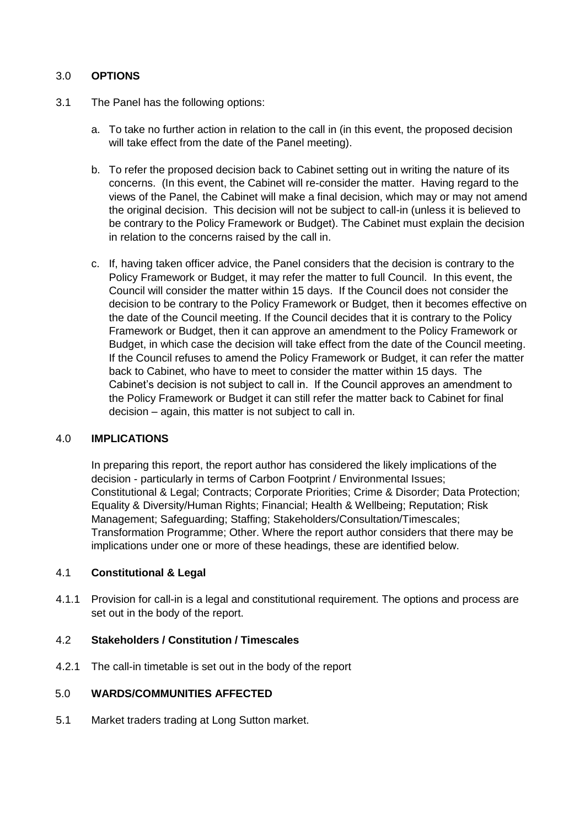### 3.0 **OPTIONS**

- 3.1 The Panel has the following options:
	- a. To take no further action in relation to the call in (in this event, the proposed decision will take effect from the date of the Panel meeting).
	- b. To refer the proposed decision back to Cabinet setting out in writing the nature of its concerns. (In this event, the Cabinet will re-consider the matter. Having regard to the views of the Panel, the Cabinet will make a final decision, which may or may not amend the original decision. This decision will not be subject to call-in (unless it is believed to be contrary to the Policy Framework or Budget). The Cabinet must explain the decision in relation to the concerns raised by the call in.
	- c. If, having taken officer advice, the Panel considers that the decision is contrary to the Policy Framework or Budget, it may refer the matter to full Council. In this event, the Council will consider the matter within 15 days. If the Council does not consider the decision to be contrary to the Policy Framework or Budget, then it becomes effective on the date of the Council meeting. If the Council decides that it is contrary to the Policy Framework or Budget, then it can approve an amendment to the Policy Framework or Budget, in which case the decision will take effect from the date of the Council meeting. If the Council refuses to amend the Policy Framework or Budget, it can refer the matter back to Cabinet, who have to meet to consider the matter within 15 days. The Cabinet's decision is not subject to call in. If the Council approves an amendment to the Policy Framework or Budget it can still refer the matter back to Cabinet for final decision – again, this matter is not subject to call in.

#### 4.0 **IMPLICATIONS**

In preparing this report, the report author has considered the likely implications of the decision - particularly in terms of Carbon Footprint / Environmental Issues; Constitutional & Legal; Contracts; Corporate Priorities; Crime & Disorder; Data Protection; Equality & Diversity/Human Rights; Financial; Health & Wellbeing; Reputation; Risk Management; Safeguarding; Staffing; Stakeholders/Consultation/Timescales; Transformation Programme; Other. Where the report author considers that there may be implications under one or more of these headings, these are identified below.

#### 4.1 **Constitutional & Legal**

4.1.1 Provision for call-in is a legal and constitutional requirement. The options and process are set out in the body of the report.

#### 4.2 **Stakeholders / Constitution / Timescales**

4.2.1 The call-in timetable is set out in the body of the report

#### 5.0 **WARDS/COMMUNITIES AFFECTED**

5.1 Market traders trading at Long Sutton market.